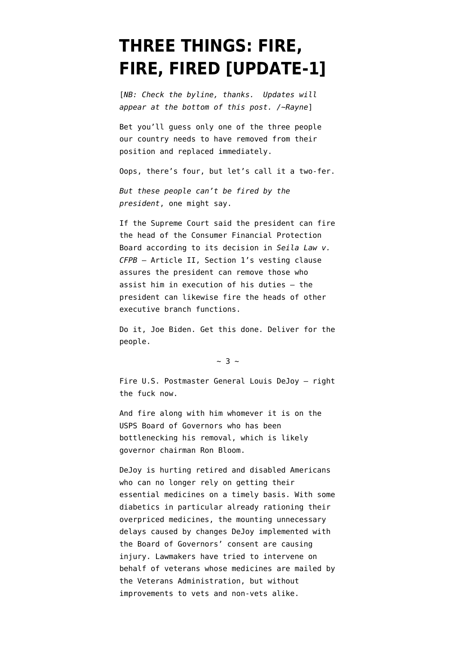## **[THREE THINGS: FIRE,](https://www.emptywheel.net/2021/11/18/three-things-fire-fire-fired/) [FIRE, FIRED \[UPDATE-1\]](https://www.emptywheel.net/2021/11/18/three-things-fire-fire-fired/)**

[*NB: Check the byline, thanks. Updates will appear at the bottom of this post. /~Rayne*]

Bet you'll guess only one of the three people our country needs to have removed from their position and replaced immediately.

Oops, there's four, but let's call it a two-fer.

*But these people can't be fired by the president*, one might say.

If the Supreme Court said the president can fire the head of the Consumer Financial Protection Board according to its decision in *Seila Law v. CFPB* — Article II, Section 1's [vesting clause](https://constitutioncenter.org/interactive-constitution/interpretation/article-ii/clauses/347) assures the president can remove those who assist him in execution of his duties — the president can likewise fire the heads of other executive branch functions.

Do it, Joe Biden. Get this done. Deliver for the people.

 $~\sim$  3  $~\sim$ 

Fire U.S. Postmaster General Louis DeJoy — right the fuck now.

And fire along with him whomever it is on the [USPS Board of Governors](https://en.wikipedia.org/wiki/Board_of_Governors_of_the_United_States_Postal_Service#Current_members) who has been bottlenecking his removal, which is likely governor chairman [Ron Bloom](https://en.wikipedia.org/wiki/Ron_Bloom).

DeJoy is hurting retired and disabled Americans who can no longer rely on getting their essential medicines on a timely basis. With some diabetics in particular already rationing their overpriced medicines, the mounting unnecessary delays caused by changes DeJoy implemented with the Board of Governors' consent are causing injury. Lawmakers have [tried to intervene on](https://abcnews.go.com/Politics/wireStory/lawmakers-postal-delay-mail-order-medicine-vets-72374343) [behalf of veterans](https://abcnews.go.com/Politics/wireStory/lawmakers-postal-delay-mail-order-medicine-vets-72374343) whose medicines are mailed by the Veterans Administration, but without improvements to vets and non-vets alike.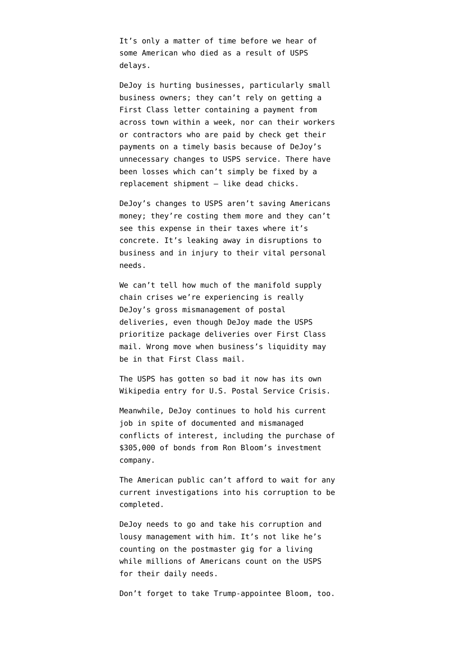It's only a matter of time before we hear of some American who died as a result of USPS delays.

DeJoy is [hurting businesses, particularly small](https://www.vice.com/en/article/n7w9nd/usps-package-delays-mail-slowdown-hurts-small-businesses) [business owners;](https://www.vice.com/en/article/n7w9nd/usps-package-delays-mail-slowdown-hurts-small-businesses) they can't rely on getting a First Class letter containing a payment from across town within a week, nor can their workers or contractors who are paid by check get their payments on a timely basis because of DeJoy's unnecessary changes to USPS service. There have been losses which can't simply be fixed by a replacement shipment — [like dead chicks.](https://www.washingtonpost.com/business/2020/08/22/chicks-cockroaches-crickets-frogs-how-mail-delays-are-affecting-live-animal-trade/)

DeJoy's changes to USPS aren't saving Americans money; they're costing them more and they can't see this expense in their taxes where it's concrete. It's leaking away in disruptions to business and in injury to their vital personal needs.

We can't tell how much of the manifold supply chain crises we're experiencing is really DeJoy's gross mismanagement of postal deliveries, even though DeJoy made the [USPS](https://www.supplychaindive.com/news/USPS-postal-service-harm-prioritizing-package-delivery-logistics/597561/) [prioritize package deliveries over First Class](https://www.supplychaindive.com/news/USPS-postal-service-harm-prioritizing-package-delivery-logistics/597561/) [mail](https://www.supplychaindive.com/news/USPS-postal-service-harm-prioritizing-package-delivery-logistics/597561/). Wrong move when business's liquidity may be in that First Class mail.

The USPS has gotten so bad it now has its own Wikipedia entry for [U.S. Postal Service Crisis.](https://en.wikipedia.org/wiki/2020_United_States_Postal_Service_crisis)

Meanwhile, DeJoy continues to hold his current job in spite of [documented and mismanaged](https://www.citizensforethics.org/reports-investigations/crew-reports/usps-mismanaged-dejoys-conflicts-of-interest-and-tried-to-cover-it-up/) [conflicts of interest](https://www.citizensforethics.org/reports-investigations/crew-reports/usps-mismanaged-dejoys-conflicts-of-interest-and-tried-to-cover-it-up/), including the [purchase of](https://www.washingtonpost.com/business/2021/08/13/dejoy-usps-bloom-bonds-brookfield/) [\\$305,000 of bonds from Ron Bloom's investment](https://www.washingtonpost.com/business/2021/08/13/dejoy-usps-bloom-bonds-brookfield/) [company.](https://www.washingtonpost.com/business/2021/08/13/dejoy-usps-bloom-bonds-brookfield/)

The American public can't afford to wait for any [current investigations](https://www.washingtonpost.com/national-security/louis-dejoy-fbi-investigation/2021/06/03/4e24e122-c3d3-11eb-93f5-ee9558eecf4b_story.html) into his corruption to be completed.

DeJoy needs to go and take his corruption and lousy management with him. It's not like he's counting on the postmaster gig for a living while millions of Americans count on the USPS for their daily needs.

Don't forget to [take Trump-appointee Bloom](https://www.govexec.com/management/2021/08/usps-board-meeting-turns-testy-biden-appointees-voice-disagreements-dejoys-vision/184346/), too.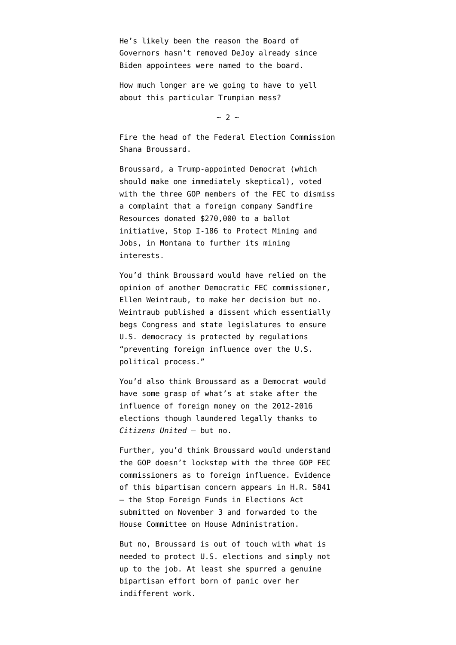He's likely been the reason the Board of Governors hasn't removed DeJoy already since Biden appointees were named to the board.

How much longer are we going to have to yell about this particular Trumpian mess?

 $\sim$  2  $\sim$ 

Fire the head of the Federal Election Commission Shana Broussard.

Broussard, a Trump-appointed Democrat (which should make one immediately skeptical), voted with the three GOP members of the FEC to dismiss a complaint that a foreign company Sandfire Resources donated \$270,000 to a ballot initiative, Stop I-186 to Protect Mining and Jobs, in Montana to further its mining interests.

You'd think Broussard would have relied on the opinion of another Democratic FEC commissioner, Ellen Weintraub, to make her decision but no. Weintraub [published a dissent](https://www.fec.gov/files/legal/murs/7523/7523_27.pdf) which essentially begs Congress and state legislatures to ensure U.S. democracy is protected by regulations "[preventing foreign influence over the U.S.](https://www.fec.gov/legal-resources/court-cases/bluman-v-fec/) [political process."](https://www.fec.gov/legal-resources/court-cases/bluman-v-fec/)

You'd also think Broussard as a Democrat would have some grasp of what's at stake after the influence of foreign money on the 2012-2016 elections though laundered legally thanks to *[Citizens United](https://en.wikipedia.org/wiki/Citizens_United_v._FEC)* — but no.

Further, you'd think Broussard would understand the GOP doesn't lockstep with the three GOP FEC commissioners as to foreign influence. Evidence of this bipartisan concern appears in [H.R. 5841](https://www.congress.gov/bill/117th-congress/house-bill/5841/actions?r=1&s=1) [– the Stop Foreign Funds in Elections Act](https://www.congress.gov/bill/117th-congress/house-bill/5841/actions?r=1&s=1) submitted on November 3 and forwarded to the House Committee on House Administration.

But no, Broussard is out of touch with what is needed to protect U.S. elections and simply not up to the job. At least she spurred a genuine bipartisan effort born of panic over her indifferent work.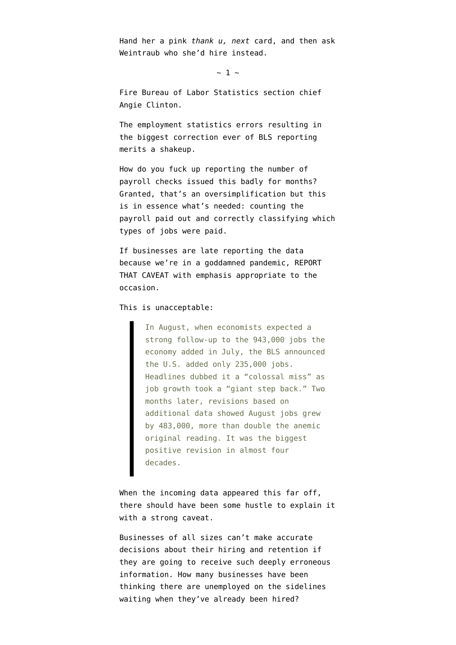Hand her a pink *[thank u, next](https://youtu.be/5OeR5XBEahU)* card, and then ask Weintraub who she'd hire instead.

 $\sim$  1  $\sim$ 

Fire Bureau of Labor Statistics section chief Angie Clinton.

The [employment statistics errors resulting in](https://www.washingtonpost.com/business/2021/11/16/government-underestimated-job-growth/) [the biggest correction](https://www.washingtonpost.com/business/2021/11/16/government-underestimated-job-growth/) ever of BLS reporting merits a shakeup.

How do you fuck up reporting the number of payroll checks issued this badly for months? Granted, that's an oversimplification but this is in essence what's needed: counting the payroll paid out and correctly classifying which types of jobs were paid.

If businesses are late reporting the data because we're in a goddamned pandemic, REPORT THAT CAVEAT with emphasis appropriate to the occasion.

This is unacceptable:

In August, when economists expected a strong follow-up to the 943,000 jobs the economy added in July, the BLS announced the U.S. added only 235,000 jobs. Headlines dubbed it a "colossal miss" as job growth took a "giant step back." Two months later, revisions based on additional data showed August jobs grew by 483,000, more than double the anemic original reading. It was the biggest positive revision in almost four decades.

When the incoming data appeared this far off, there should have been some hustle to explain it with a strong caveat.

Businesses of all sizes can't make accurate decisions about their hiring and retention if they are going to receive such deeply erroneous information. How many businesses have been thinking there are unemployed on the sidelines waiting when they've already been hired?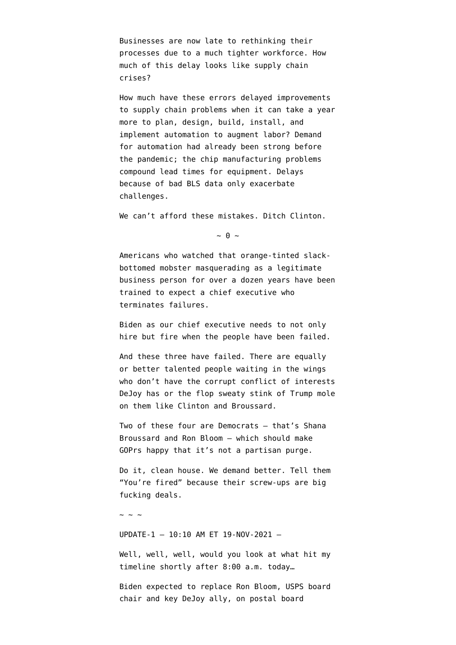Businesses are now late to rethinking their processes due to a much tighter workforce. How much of this delay looks like supply chain crises?

How much have these errors delayed improvements to supply chain problems when it can take a year more to [plan, design, build, install, and](https://www.assemblymag.com/articles/94746-increasing-lead-times-for-automation-components-become-an-issue-for-systems-integrators) [implement](https://www.assemblymag.com/articles/94746-increasing-lead-times-for-automation-components-become-an-issue-for-systems-integrators) automation to augment labor? Demand for automation had already been strong before the pandemic; the chip manufacturing problems compound lead times for equipment. Delays because of bad BLS data only exacerbate challenges.

We can't afford these mistakes. Ditch Clinton.

 $\sim \theta \sim$ 

Americans who watched that orange-tinted slackbottomed mobster [masquerading as a legitimate](https://en.wikipedia.org/wiki/The_Apprentice_(American_TV_series)) [business person](https://en.wikipedia.org/wiki/The_Apprentice_(American_TV_series)) for over a dozen years have been trained to expect a chief executive who terminates failures.

Biden as our chief executive needs to not only hire but fire when the people have been failed.

And these three have failed. There are equally or better talented people waiting in the wings who don't have the corrupt conflict of interests DeJoy has or the flop sweaty stink of Trump mole on them like Clinton and Broussard.

Two of these four are Democrats — that's Shana Broussard and Ron Bloom — which should make GOPrs happy that it's not a partisan purge.

Do it, clean house. We demand better. Tell them "You're fired" because their screw-ups are big fucking deals.

 $\sim$  ~ ~

UPDATE-1 — 10:10 AM ET 19-NOV-2021 —

Well, well, well, would you look at what hit my timeline shortly after 8:00 a.m. today…

[Biden expected to replace Ron Bloom, USPS board](https://www.washingtonpost.com/business/2021/11/19/usps-biden-bloom-dejoy/) [chair and key DeJoy ally, on postal board](https://www.washingtonpost.com/business/2021/11/19/usps-biden-bloom-dejoy/)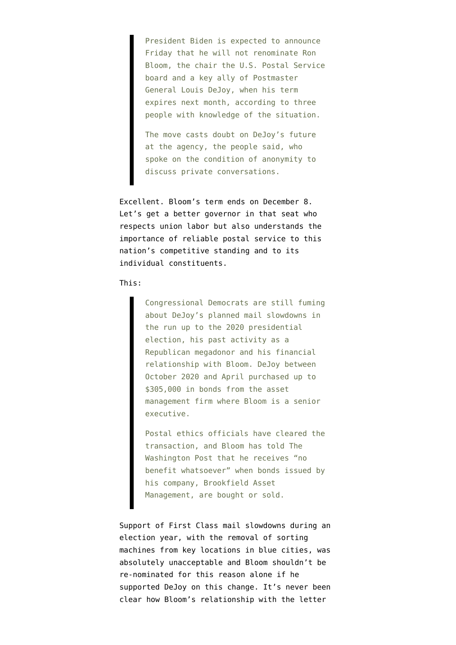President Biden is expected to announce Friday that he will not renominate Ron Bloom, the chair the U.S. Postal Service board and a key ally of Postmaster General Louis DeJoy, when his term expires next month, according to three people with knowledge of the situation.

The move casts doubt on DeJoy's future at the agency, the people said, who spoke on the condition of anonymity to discuss private conversations.

Excellent. Bloom's term ends on December 8. Let's get a better governor in that seat who respects union labor but also understands the importance of reliable postal service to this nation's competitive standing and to its individual constituents.

## This:

Congressional Democrats are still fuming about DeJoy's planned mail slowdowns in the run up to the 2020 presidential election, his past activity as a Republican megadonor and his financial relationship with Bloom. DeJoy between October 2020 and April purchased up to \$305,000 in bonds from the asset management firm where Bloom is a senior executive.

Postal ethics officials have cleared the transaction, and Bloom has told The Washington Post that he receives "no benefit whatsoever" when bonds issued by his company, Brookfield Asset Management, are bought or sold.

Support of First Class mail slowdowns during an election year, with the removal of sorting machines from key locations in blue cities, was absolutely unacceptable and Bloom shouldn't be re-nominated for this reason alone if he supported DeJoy on this change. It's never been clear how Bloom's relationship with the letter